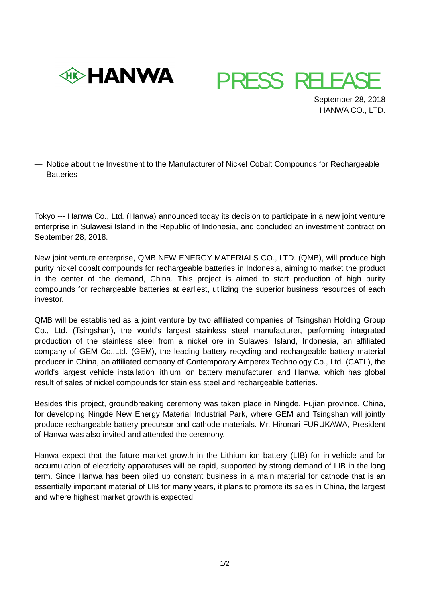



 September 28, 2018 HANWA CO., LTD.

— Notice about the Investment to the Manufacturer of Nickel Cobalt Compounds for Rechargeable Batteries—

Tokyo --- Hanwa Co., Ltd. (Hanwa) announced today its decision to participate in a new joint venture enterprise in Sulawesi Island in the Republic of Indonesia, and concluded an investment contract on September 28, 2018.

New joint venture enterprise, QMB NEW ENERGY MATERIALS CO., LTD. (QMB), will produce high purity nickel cobalt compounds for rechargeable batteries in Indonesia, aiming to market the product in the center of the demand, China. This project is aimed to start production of high purity compounds for rechargeable batteries at earliest, utilizing the superior business resources of each investor.

QMB will be established as a joint venture by two affiliated companies of Tsingshan Holding Group Co., Ltd. (Tsingshan), the world's largest stainless steel manufacturer, performing integrated production of the stainless steel from a nickel ore in Sulawesi Island, Indonesia, an affiliated company of GEM Co.,Ltd. (GEM), the leading battery recycling and rechargeable battery material producer in China, an affiliated company of Contemporary Amperex Technology Co., Ltd. (CATL), the world's largest vehicle installation lithium ion battery manufacturer, and Hanwa, which has global result of sales of nickel compounds for stainless steel and rechargeable batteries.

Besides this project, groundbreaking ceremony was taken place in Ningde, Fujian province, China, for developing Ningde New Energy Material Industrial Park, where GEM and Tsingshan will jointly produce rechargeable battery precursor and cathode materials. Mr. Hironari FURUKAWA, President of Hanwa was also invited and attended the ceremony.

Hanwa expect that the future market growth in the Lithium ion battery (LIB) for in-vehicle and for accumulation of electricity apparatuses will be rapid, supported by strong demand of LIB in the long term. Since Hanwa has been piled up constant business in a main material for cathode that is an essentially important material of LIB for many years, it plans to promote its sales in China, the largest and where highest market growth is expected.